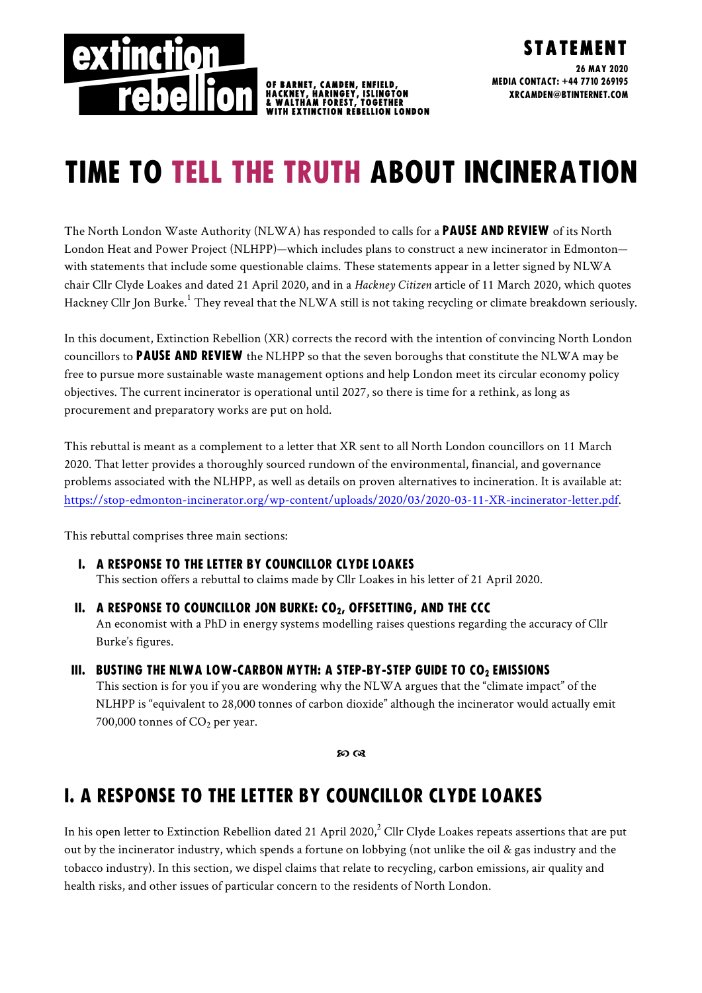

# TIME TO TELL THE TRUTH ABOUT incineration

The North London Waste Authority (NLWA) has responded to calls for a **PAUSE AND REVIEW** of its North London Heat and Power Project (NLHPP)—which includes plans to construct a new incinerator in Edmonton with statements that include some questionable claims. These statements appear in a letter signed by NLWA chair Cllr Clyde Loakes and dated 21 April 2020, and in a *Hackney Citizen* article of 11 March 2020, which quotes Hackney Cllr Jon Burke.<sup>1</sup> They reveal that the NLWA still is not taking recycling or climate breakdown seriously.

In this document, Extinction Rebellion (XR) corrects the record with the intention of convincing North London councillors to **PAUSE AND REVIEW** the NLHPP so that the seven boroughs that constitute the NLWA may be free to pursue more sustainable waste management options and help London meet its circular economy policy objectives. The current incinerator is operational until 2027, so there is time for a rethink, as long as procurement and preparatory works are put on hold.

This rebuttal is meant as a complement to a letter that XR sent to all North London councillors on 11 March 2020. That letter provides a thoroughly sourced rundown of the environmental, financial, and governance problems associated with the NLHPP, as well as details on proven alternatives to incineration. It is available at: https://stop-edmonton-incinerator.org/wp-content/uploads/2020/03/2020-03-11-XR-incinerator-letter.pdf.

This rebuttal comprises three main sections:

#### I. A response to the letter by Councillor Clyde Loakes

This section offers a rebuttal to claims made by Cllr Loakes in his letter of 21 April 2020.

II. A RESPONSE TO COUNCILLOR JON BURKE:  $CO<sub>2</sub>$ , OFFSETTING, AND THE CCC

An economist with a PhD in energy systems modelling raises questions regarding the accuracy of Cllr Burke's figures.

#### III. BUSTING THE NLWA LOW-CARBON MYTH: A STEP-BY-STEP GUIDE TO CO2 EMISSIONS

This section is for you if you are wondering why the NLWA argues that the "climate impact" of the NLHPP is "equivalent to 28,000 tonnes of carbon dioxide" although the incinerator would actually emit 700,000 tonnes of  $CO<sub>2</sub>$  per year.

so ca

## i. a response to the letter by Councillor Clyde Loakes

In his open letter to Extinction Rebellion dated 21 April 2020, $^2$  Cllr Clyde Loakes repeats assertions that are put out by the incinerator industry, which spends a fortune on lobbying (not unlike the oil & gas industry and the tobacco industry). In this section, we dispel claims that relate to recycling, carbon emissions, air quality and health risks, and other issues of particular concern to the residents of North London.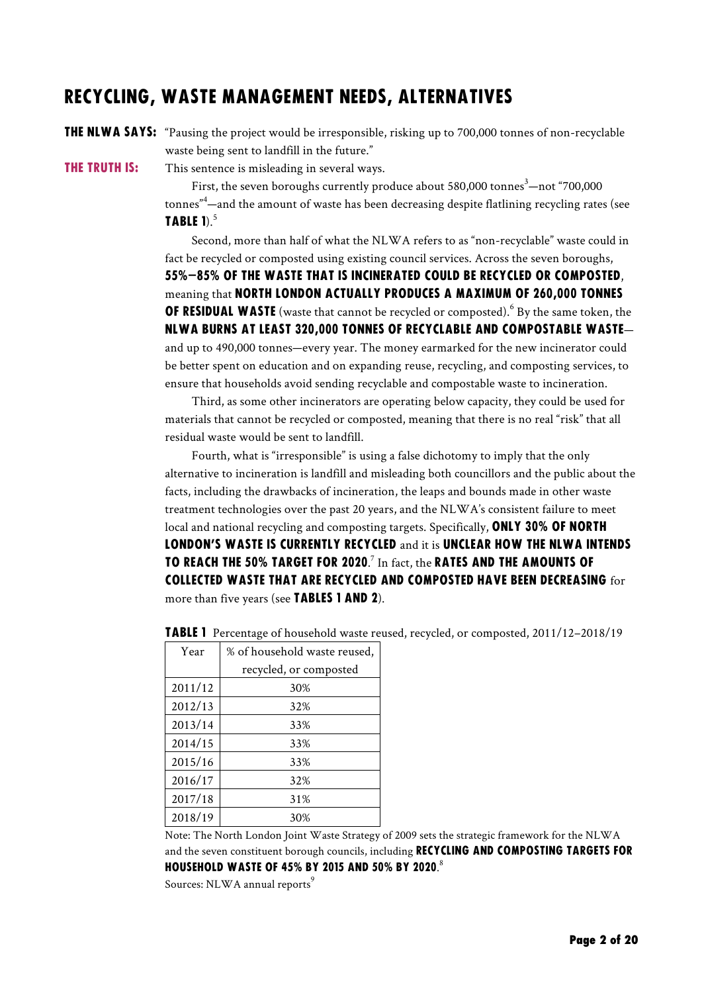### Recycling, waste management needs, alternatives

**THE NLWA SAYS:** "Pausing the project would be irresponsible, risking up to 700,000 tonnes of non-recyclable waste being sent to landfill in the future."

**THE TRUTH IS:** This sentence is misleading in several ways.

First, the seven boroughs currently produce about 580,000 tonnes $^3-$ not "700,000

tonnes" 4 —and the amount of waste has been decreasing despite flatlining recycling rates (see TABLE 1). $^5$ 

Second, more than half of what the NLWA refers to as "non-recyclable" waste could in fact be recycled or composted using existing council services. Across the seven boroughs, 55%–85% of the waste that is incinerated could be recycled or composted, meaning that North London actually produces a maximum of 260,000 tonnes **OF RESIDUAL WASTE** (waste that cannot be recycled or composted).<sup>6</sup> By the same token, the NLWA burns at least 320,000 tonnes of recyclable and compostable waste and up to 490,000 tonnes—every year. The money earmarked for the new incinerator could be better spent on education and on expanding reuse, recycling, and composting services, to ensure that households avoid sending recyclable and compostable waste to incineration.

Third, as some other incinerators are operating below capacity, they could be used for materials that cannot be recycled or composted, meaning that there is no real "risk" that all residual waste would be sent to landfill.

Fourth, what is "irresponsible" is using a false dichotomy to imply that the only alternative to incineration is landfill and misleading both councillors and the public about the facts, including the drawbacks of incineration, the leaps and bounds made in other waste treatment technologies over the past 20 years, and the NLWA's consistent failure to meet local and national recycling and composting targets. Specifically, ONLY 30% OF NORTH LONDON'S WASTE IS CURRENTLY RECYCLED and it is UNCLEAR HOW THE NLWA INTENDS TO REACH THE 50% TARGET FOR 2020. $^7$  In fact, the RATES AND THE AMOUNTS OF collected waste that are recycled and composted have been decreasing for more than five years (see TABLES 1 AND 2).

| Year    | % of household waste reused, |  |
|---------|------------------------------|--|
|         | recycled, or composted       |  |
| 2011/12 | 30%                          |  |
| 2012/13 | 32%                          |  |
| 2013/14 | 33%                          |  |
| 2014/15 | 33%                          |  |
| 2015/16 | 33%                          |  |
| 2016/17 | 32%                          |  |
| 2017/18 | 31%                          |  |
| 2018/19 | 30%                          |  |
|         |                              |  |

**TABLE 1** Percentage of household waste reused, recycled, or composted, 2011/12–2018/19

Note: The North London Joint Waste Strategy of 2009 sets the strategic framework for the NLWA and the seven constituent borough councils, including **RECYCLING AND COMPOSTING TARGETS FOR** HOUSEHOLD WASTE OF 45% BY 2015 AND 50% BY 2020. $^{\mathrm{s}}$ 

Sources: NLWA annual reports<sup>9</sup>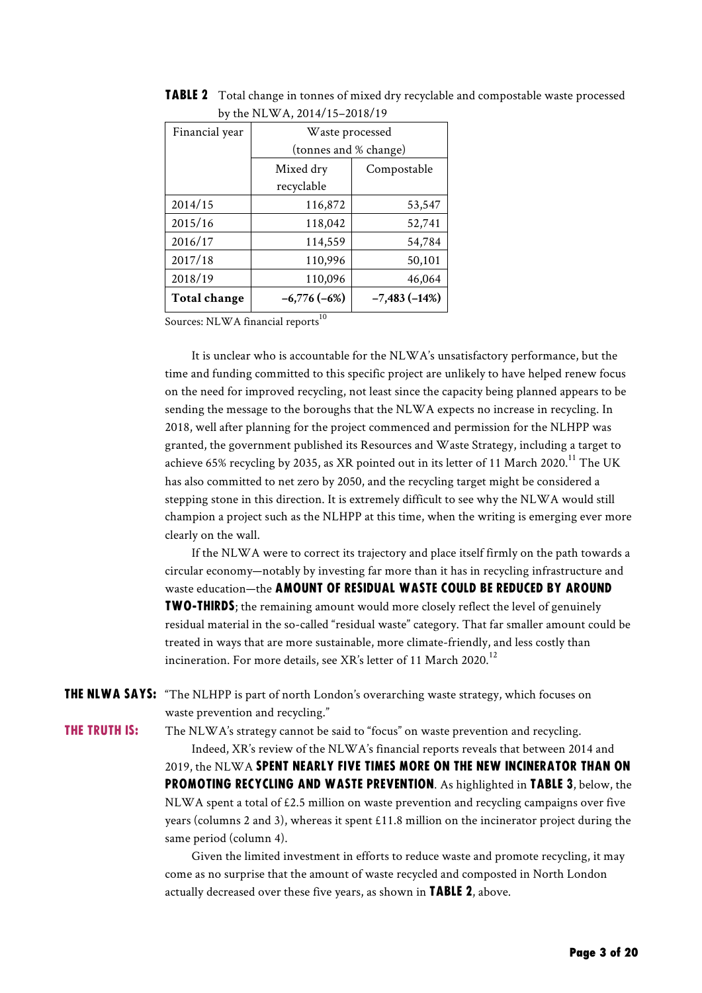| $D_{\rm V}$ and the $W_{\rm 11}$ , $2017$ , $13-2010$ , $17$ |                |  |  |
|--------------------------------------------------------------|----------------|--|--|
| Waste processed                                              |                |  |  |
| (tonnes and % change)                                        |                |  |  |
| Mixed dry<br>Compostable                                     |                |  |  |
| recyclable                                                   |                |  |  |
| 116,872                                                      | 53,547         |  |  |
| 118,042                                                      | 52,741         |  |  |
| 114,559                                                      | 54,784         |  |  |
| 110,996                                                      | 50,101         |  |  |
| 110,096                                                      | 46,064         |  |  |
| $-6,776(-6%)$                                                | $-7,483(-14%)$ |  |  |
|                                                              |                |  |  |

**TABLE 2** Total change in tonnes of mixed dry recyclable and compostable waste processed by the NLWA, 2014/15–2018/19

Sources: NLWA financial reports<sup>10</sup>

It is unclear who is accountable for the NLWA's unsatisfactory performance, but the time and funding committed to this specific project are unlikely to have helped renew focus on the need for improved recycling, not least since the capacity being planned appears to be sending the message to the boroughs that the NLWA expects no increase in recycling. In 2018, well after planning for the project commenced and permission for the NLHPP was granted, the government published its Resources and Waste Strategy, including a target to achieve 65% recycling by 2035, as XR pointed out in its letter of 11 March 2020.<sup>11</sup> The UK has also committed to net zero by 2050, and the recycling target might be considered a stepping stone in this direction. It is extremely difficult to see why the NLWA would still champion a project such as the NLHPP at this time, when the writing is emerging ever more clearly on the wall.

If the NLWA were to correct its trajectory and place itself firmly on the path towards a circular economy—notably by investing far more than it has in recycling infrastructure and waste education—the **AMOUNT OF RESIDUAL WASTE COULD BE REDUCED BY AROUND TWO-THIRDS**; the remaining amount would more closely reflect the level of genuinely residual material in the so-called "residual waste" category. That far smaller amount could be treated in ways that are more sustainable, more climate-friendly, and less costly than incineration. For more details, see XR's letter of 11 March 2020.<sup>12</sup>

THE NLWA SAYS: "The NLHPP is part of north London's overarching waste strategy, which focuses on waste prevention and recycling."

**THE TRUTH IS:** The NLWA's strategy cannot be said to "focus" on waste prevention and recycling.

Indeed, XR's review of the NLWA's financial reports reveals that between 2014 and 2019, the NLWA spent nearly five times more on the new incinerator than on promoting recycling and waste prevention. As highlighted in Table 3, below, the NLWA spent a total of £2.5 million on waste prevention and recycling campaigns over five years (columns 2 and 3), whereas it spent £11.8 million on the incinerator project during the

same period (column 4).

Given the limited investment in efforts to reduce waste and promote recycling, it may come as no surprise that the amount of waste recycled and composted in North London actually decreased over these five years, as shown in TABLE 2, above.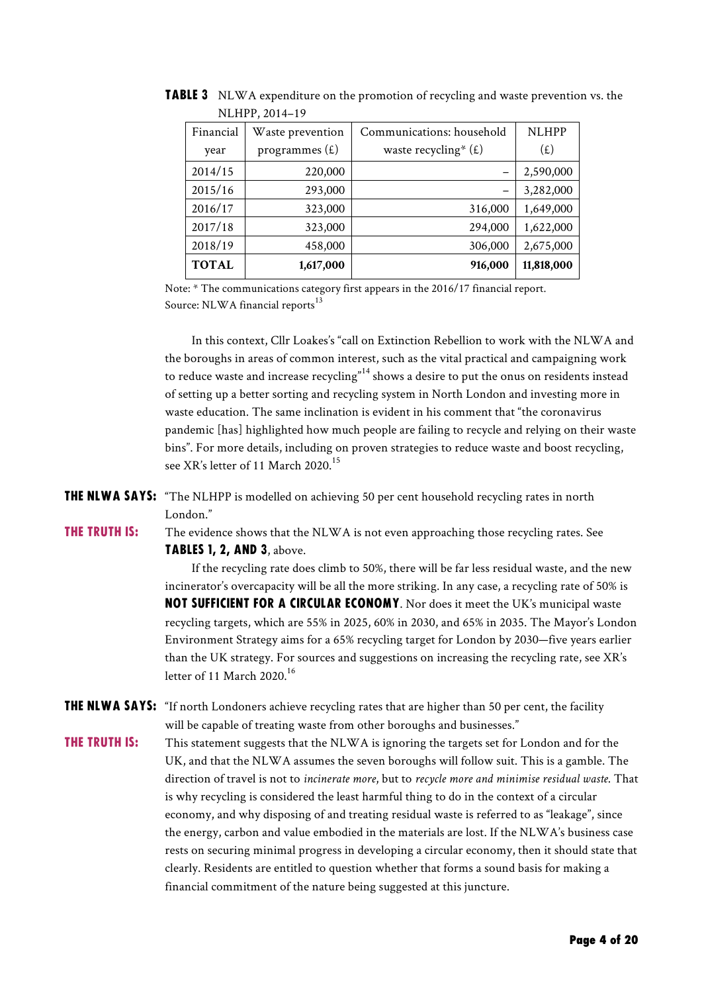| <b>NLHPP</b><br>Financial<br>Communications: household<br>Waste prevention<br>programmes $(E)$<br>waste recycling* $(E)$<br>(E)<br>year<br>2014/15<br>2,590,000<br>220,000<br>2015/16<br>3,282,000<br>293,000<br>2016/17<br>1,649,000<br>323,000<br>316,000<br>2017/18<br>1,622,000<br>294,000<br>323,000<br>2018/19<br>306,000<br>2,675,000<br>458,000<br><b>TOTAL</b><br>11,818,000<br>1,617,000<br>916,000 | $11$ LIIIIIIIIIIII $0$ |  |
|---------------------------------------------------------------------------------------------------------------------------------------------------------------------------------------------------------------------------------------------------------------------------------------------------------------------------------------------------------------------------------------------------------------|------------------------|--|
|                                                                                                                                                                                                                                                                                                                                                                                                               |                        |  |
|                                                                                                                                                                                                                                                                                                                                                                                                               |                        |  |
|                                                                                                                                                                                                                                                                                                                                                                                                               |                        |  |
|                                                                                                                                                                                                                                                                                                                                                                                                               |                        |  |
|                                                                                                                                                                                                                                                                                                                                                                                                               |                        |  |
|                                                                                                                                                                                                                                                                                                                                                                                                               |                        |  |
|                                                                                                                                                                                                                                                                                                                                                                                                               |                        |  |
|                                                                                                                                                                                                                                                                                                                                                                                                               |                        |  |

**TABLE 3** NLWA expenditure on the promotion of recycling and waste prevention vs. the NI HPP, 2014-19

Note: \* The communications category first appears in the 2016/17 financial report. Source: NLWA financial reports<sup>13</sup>

In this context, Cllr Loakes's "call on Extinction Rebellion to work with the NLWA and the boroughs in areas of common interest, such as the vital practical and campaigning work to reduce waste and increase recycling"<sup>14</sup> shows a desire to put the onus on residents instead of setting up a better sorting and recycling system in North London and investing more in waste education. The same inclination is evident in his comment that "the coronavirus pandemic [has] highlighted how much people are failing to recycle and relying on their waste bins". For more details, including on proven strategies to reduce waste and boost recycling, see XR's letter of 11 March 2020.<sup>15</sup>

THE NLWA SAYS: "The NLHPP is modelled on achieving 50 per cent household recycling rates in north London."

**THE TRUTH IS:** The evidence shows that the NLWA is not even approaching those recycling rates. See Tables 1, 2, and 3, above.

> If the recycling rate does climb to 50%, there will be far less residual waste, and the new incinerator's overcapacity will be all the more striking. In any case, a recycling rate of 50% is not sufficient for a circular economy. Nor does it meet the UK's municipal waste recycling targets, which are 55% in 2025, 60% in 2030, and 65% in 2035. The Mayor's London Environment Strategy aims for a 65% recycling target for London by 2030—five years earlier than the UK strategy. For sources and suggestions on increasing the recycling rate, see XR's letter of 11 March  $2020^{16}$

THE NLWA SAYS: "If north Londoners achieve recycling rates that are higher than 50 per cent, the facility will be capable of treating waste from other boroughs and businesses."

**THE TRUTH IS:** This statement suggests that the NLWA is ignoring the targets set for London and for the UK, and that the NLWA assumes the seven boroughs will follow suit. This is a gamble. The direction of travel is not to *incinerate more*, but to *recycle more and minimise residual waste*. That is why recycling is considered the least harmful thing to do in the context of a circular economy, and why disposing of and treating residual waste is referred to as "leakage", since the energy, carbon and value embodied in the materials are lost. If the NLWA's business case rests on securing minimal progress in developing a circular economy, then it should state that clearly. Residents are entitled to question whether that forms a sound basis for making a financial commitment of the nature being suggested at this juncture.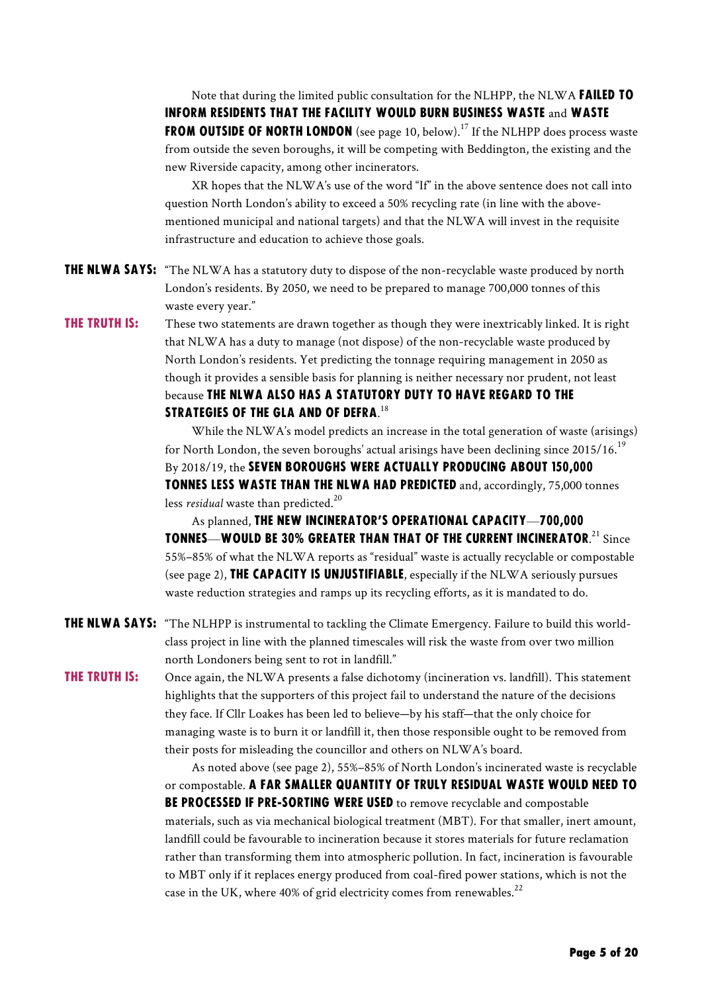Note that during the limited public consultation for the NLHPP, the NLWA **FAILED TO** inform residents that the facility would burn business waste and waste **FROM OUTSIDE OF NORTH LONDON** (see page 10, below).<sup>17</sup> If the NLHPP does process waste from outside the seven boroughs, it will be competing with Beddington, the existing and the new Riverside capacity, among other incinerators.

XR hopes that the NLWA's use of the word "If" in the above sentence does not call into question North London's ability to exceed a 50% recycling rate (in line with the abovementioned municipal and national targets) and that the NLWA will invest in the requisite infrastructure and education to achieve those goals.

THE NLWA SAYS: "The NLWA has a statutory duty to dispose of the non-recyclable waste produced by north London's residents. By 2050, we need to be prepared to manage 700,000 tonnes of this waste every year."

**THE TRUTH IS:** These two statements are drawn together as though they were inextricably linked. It is right that NLWA has a duty to manage (not dispose) of the non-recyclable waste produced by North London's residents. Yet predicting the tonnage requiring management in 2050 as though it provides a sensible basis for planning is neither necessary nor prudent, not least because the NLWA also has a statutory duty to have regard to the STRATEGIES OF THE GLA AND OF DEFRA. $^{18}$ 

> While the NLWA's model predicts an increase in the total generation of waste (arisings) for North London, the seven boroughs' actual arisings have been declining since 2015/16.<sup>19</sup> By 2018/19, the SEVEN BOROUGHS WERE ACTUALLY PRODUCING ABOUT 150,000 tonnes less waste than the NLWA had predicted and, accordingly, 75,000 tonnes less *residual* waste than predicted. 20

> As planned, the new incinerator's operational capacity—700,000 TONNES—WOULD BE 30% GREATER THAN THAT OF THE CURRENT INCINERATOR.<sup>21</sup> Since 55%–85% of what the NLWA reports as "residual" waste is actually recyclable or compostable (see page 2), **THE CAPACITY IS UNJUSTIFIABLE**, especially if the NLWA seriously pursues waste reduction strategies and ramps up its recycling efforts, as it is mandated to do.

THE NLWA SAYS: "The NLHPP is instrumental to tackling the Climate Emergency. Failure to build this worldclass project in line with the planned timescales will risk the waste from over two million north Londoners being sent to rot in landfill."

**THE TRUTH IS:** Once again, the NLWA presents a false dichotomy (incineration vs. landfill). This statement highlights that the supporters of this project fail to understand the nature of the decisions they face. If Cllr Loakes has been led to believe—by his staff—that the only choice for managing waste is to burn it or landfill it, then those responsible ought to be removed from their posts for misleading the councillor and others on NLWA's board.

> As noted above (see page 2), 55%–85% of North London's incinerated waste is recyclable or compostable. A far smaller quantity of truly residual waste would need to **BE PROCESSED IF PRE-SORTING WERE USED** to remove recyclable and compostable materials, such as via mechanical biological treatment (MBT). For that smaller, inert amount, landfill could be favourable to incineration because it stores materials for future reclamation rather than transforming them into atmospheric pollution. In fact, incineration is favourable to MBT only if it replaces energy produced from coal-fired power stations, which is not the case in the UK, where 40% of grid electricity comes from renewables. $^{22}$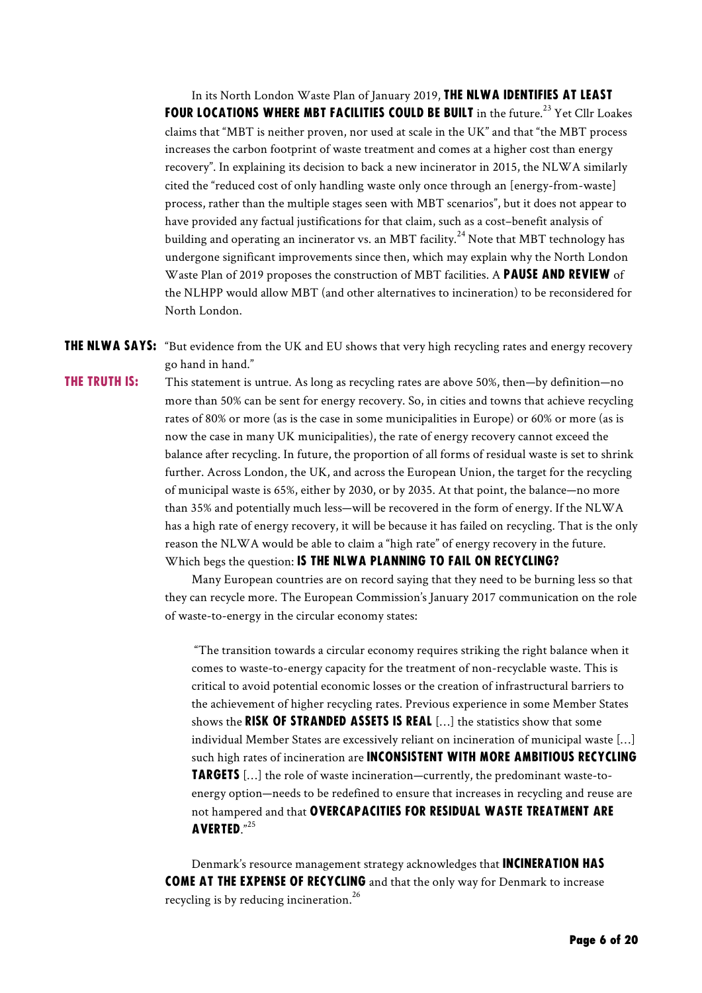In its North London Waste Plan of January 2019, THE NLWA IDENTIFIES AT LEAST FOUR LOCATIONS WHERE MBT FACILITIES COULD BE BUILT in the future.<sup>23</sup> Yet Cllr Loakes claims that "MBT is neither proven, nor used at scale in the UK" and that "the MBT process increases the carbon footprint of waste treatment and comes at a higher cost than energy recovery". In explaining its decision to back a new incinerator in 2015, the NLWA similarly cited the "reduced cost of only handling waste only once through an [energy-from-waste] process, rather than the multiple stages seen with MBT scenarios", but it does not appear to have provided any factual justifications for that claim, such as a cost–benefit analysis of building and operating an incinerator vs. an MBT facility.<sup>24</sup> Note that MBT technology has undergone significant improvements since then, which may explain why the North London Waste Plan of 2019 proposes the construction of MBT facilities. A PAUSE AND REVIEW of the NLHPP would allow MBT (and other alternatives to incineration) to be reconsidered for North London.

**THE NLWA SAYS:** "But evidence from the UK and EU shows that very high recycling rates and energy recovery go hand in hand."

**THE TRUTH IS:** This statement is untrue. As long as recycling rates are above 50%, then—by definition—no more than 50% can be sent for energy recovery. So, in cities and towns that achieve recycling rates of 80% or more (as is the case in some municipalities in Europe) or 60% or more (as is now the case in many UK municipalities), the rate of energy recovery cannot exceed the balance after recycling. In future, the proportion of all forms of residual waste is set to shrink further. Across London, the UK, and across the European Union, the target for the recycling of municipal waste is 65%, either by 2030, or by 2035. At that point, the balance—no more than 35% and potentially much less—will be recovered in the form of energy. If the NLWA has a high rate of energy recovery, it will be because it has failed on recycling. That is the only reason the NLWA would be able to claim a "high rate" of energy recovery in the future. Which begs the question: IS THE NLWA PLANNING TO FAIL ON RECYCLING?

> Many European countries are on record saying that they need to be burning less so that they can recycle more. The European Commission's January 2017 communication on the role of waste-to-energy in the circular economy states:

"The transition towards a circular economy requires striking the right balance when it comes to waste-to-energy capacity for the treatment of non-recyclable waste. This is critical to avoid potential economic losses or the creation of infrastructural barriers to the achievement of higher recycling rates. Previous experience in some Member States shows the RISK OF STRANDED ASSETS IS REAL [...] the statistics show that some individual Member States are excessively reliant on incineration of municipal waste […] such high rates of incineration are **INCONSISTENT WITH MORE AMBITIOUS RECYCLING TARGETS** [...] the role of waste incineration—currently, the predominant waste-toenergy option—needs to be redefined to ensure that increases in recycling and reuse are not hampered and that OVERCAPACITIES FOR RESIDUAL WASTE TREATMENT ARE averted." 25

Denmark's resource management strategy acknowledges that **INCINERATION HAS** COME AT THE EXPENSE OF RECYCLING and that the only way for Denmark to increase recycling is by reducing incineration.<sup>26</sup>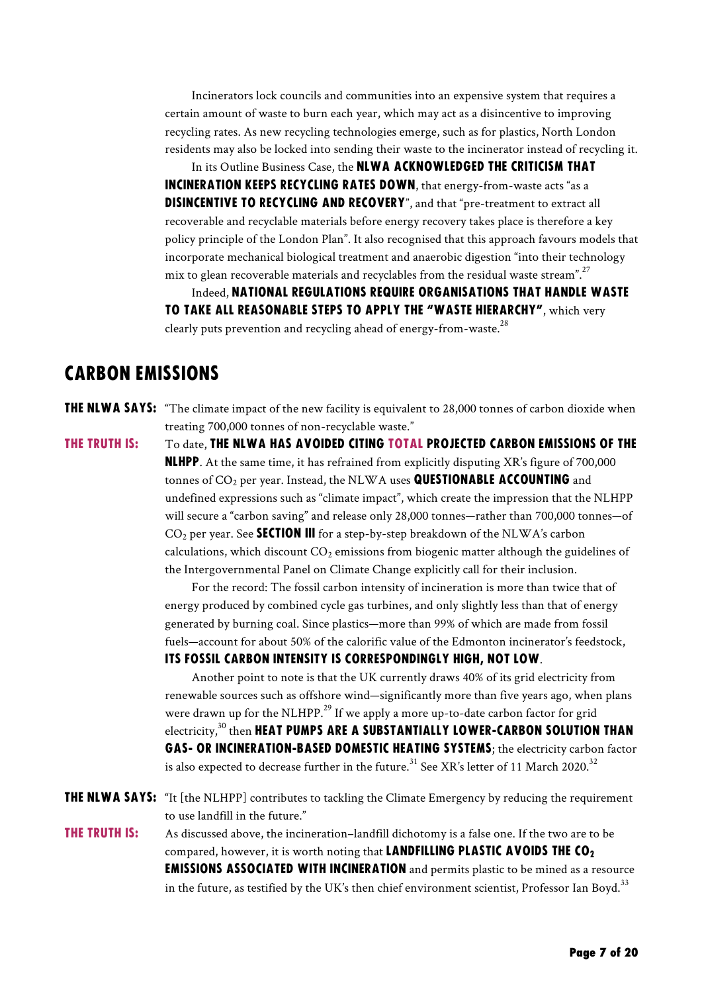Incinerators lock councils and communities into an expensive system that requires a certain amount of waste to burn each year, which may act as a disincentive to improving recycling rates. As new recycling technologies emerge, such as for plastics, North London residents may also be locked into sending their waste to the incinerator instead of recycling it.

In its Outline Business Case, the NLWA ACKNOWLEDGED THE CRITICISM THAT incineration keeps recycling rates down, that energy-from-waste acts "as a DISINCENTIVE TO RECYCLING AND RECOVERY", and that "pre-treatment to extract all recoverable and recyclable materials before energy recovery takes place is therefore a key policy principle of the London Plan". It also recognised that this approach favours models that incorporate mechanical biological treatment and anaerobic digestion "into their technology mix to glean recoverable materials and recyclables from the residual waste stream". $^{27}$ 

Indeed, national regulations require organisations that handle waste to take all reasonable steps to apply the "waste hierarchy", which very clearly puts prevention and recycling ahead of energy-from-waste.<sup>28</sup>

#### carbon emissions

- **THE NLWA SAYS:** "The climate impact of the new facility is equivalent to 28,000 tonnes of carbon dioxide when treating 700,000 tonnes of non-recyclable waste."
- THE TRUTH IS: To date, THE NLWA HAS AVOIDED CITING TOTAL PROJECTED CARBON EMISSIONS OF THE **NLHPP.** At the same time, it has refrained from explicitly disputing XR's figure of 700,000 tonnes of CO<sub>2</sub> per year. Instead, the NLWA uses **QUESTIONABLE ACCOUNTING** and undefined expressions such as "climate impact", which create the impression that the NLHPP will secure a "carbon saving" and release only 28,000 tonnes—rather than 700,000 tonnes—of  $CO<sub>2</sub>$  per year. See **SECTION III** for a step-by-step breakdown of the NLWA's carbon calculations, which discount  $CO<sub>2</sub>$  emissions from biogenic matter although the guidelines of the Intergovernmental Panel on Climate Change explicitly call for their inclusion.

For the record: The fossil carbon intensity of incineration is more than twice that of energy produced by combined cycle gas turbines, and only slightly less than that of energy generated by burning coal. Since plastics—more than 99% of which are made from fossil fuels—account for about 50% of the calorific value of the Edmonton incinerator's feedstock, its fossil carbon intensity is correspondingly high, not low.

Another point to note is that the UK currently draws 40% of its grid electricity from renewable sources such as offshore wind—significantly more than five years ago, when plans were drawn up for the NLHPP.<sup>29</sup> If we apply a more up-to-date carbon factor for grid electricity, $^{30}$  then <code>HEAT</code> PUMPS ARE A SUBSTANTIALLY LOWER-CARBON SOLUTION THAN gas- or incineration-based domestic heating systems; the electricity carbon factor is also expected to decrease further in the future. $^{\rm 31}$  See XR's letter of 11 March 2020. $^{\rm 32}$ 

THE NLWA SAYS: "It [the NLHPP] contributes to tackling the Climate Emergency by reducing the requirement to use landfill in the future."

**THE TRUTH IS:** As discussed above, the incineration–landfill dichotomy is a false one. If the two are to be compared, however, it is worth noting that **LANDFILLING PLASTIC AVOIDS THE CO<sub>2</sub> EMISSIONS ASSOCIATED WITH INCINERATION** and permits plastic to be mined as a resource in the future, as testified by the UK's then chief environment scientist, Professor Ian Boyd.<sup>33</sup>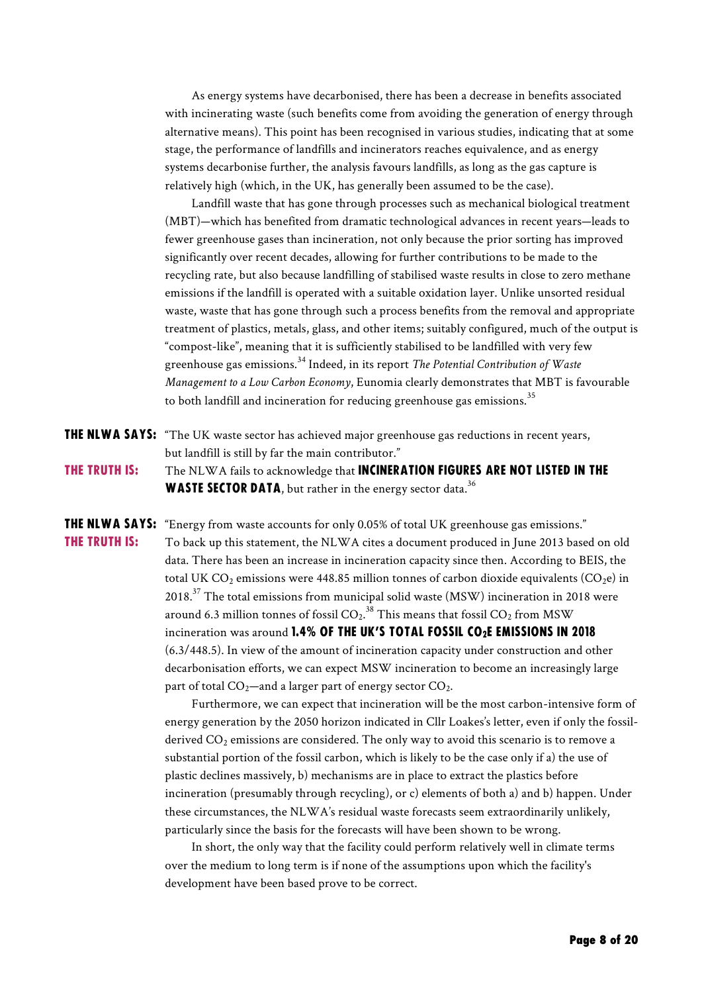As energy systems have decarbonised, there has been a decrease in benefits associated with incinerating waste (such benefits come from avoiding the generation of energy through alternative means). This point has been recognised in various studies, indicating that at some stage, the performance of landfills and incinerators reaches equivalence, and as energy systems decarbonise further, the analysis favours landfills, as long as the gas capture is relatively high (which, in the UK, has generally been assumed to be the case).

Landfill waste that has gone through processes such as mechanical biological treatment (MBT)—which has benefited from dramatic technological advances in recent years—leads to fewer greenhouse gases than incineration, not only because the prior sorting has improved significantly over recent decades, allowing for further contributions to be made to the recycling rate, but also because landfilling of stabilised waste results in close to zero methane emissions if the landfill is operated with a suitable oxidation layer. Unlike unsorted residual waste, waste that has gone through such a process benefits from the removal and appropriate treatment of plastics, metals, glass, and other items; suitably configured, much of the output is "compost-like", meaning that it is sufficiently stabilised to be landfilled with very few greenhouse gas emissions. <sup>34</sup> Indeed, in its report *The Potential Contribution of Waste Management to a Low Carbon Economy*, Eunomia clearly demonstrates that MBT is favourable to both landfill and incineration for reducing greenhouse gas emissions.<sup>35</sup>

THE NLWA SAYS: "The UK waste sector has achieved major greenhouse gas reductions in recent years, but landfill is still by far the main contributor." THE TRUTH IS: The NLWA fails to acknowledge that INCINERATION FIGURES ARE NOT LISTED IN THE **WASTE SECTOR DATA**, but rather in the energy sector data.<sup>36</sup>

**THE NLWA SAYS:** "Energy from waste accounts for only 0.05% of total UK greenhouse gas emissions." **THE TRUTH IS:** To back up this statement, the NLWA cites a document produced in June 2013 based on old data. There has been an increase in incineration capacity since then. According to BEIS, the total UK  $CO_2$  emissions were 448.85 million tonnes of carbon dioxide equivalents  $(CO_2e)$  in  $2018$ .<sup>37</sup> The total emissions from municipal solid waste (MSW) incineration in 2018 were around 6.3 million tonnes of fossil CO $_2.^{\rm 38}$  This means that fossil CO $_2$  from MSW incineration was around 1.4% OF THE UK'S TOTAL FOSSIL CO<sub>2</sub>E EMISSIONS IN 2018 (6.3/448.5). In view of the amount of incineration capacity under construction and other decarbonisation efforts, we can expect MSW incineration to become an increasingly large part of total  $CO_2$ —and a larger part of energy sector  $CO_2$ .

> Furthermore, we can expect that incineration will be the most carbon-intensive form of energy generation by the 2050 horizon indicated in Cllr Loakes's letter, even if only the fossilderived  $CO<sub>2</sub>$  emissions are considered. The only way to avoid this scenario is to remove a substantial portion of the fossil carbon, which is likely to be the case only if a) the use of plastic declines massively, b) mechanisms are in place to extract the plastics before incineration (presumably through recycling), or c) elements of both a) and b) happen. Under these circumstances, the NLWA's residual waste forecasts seem extraordinarily unlikely, particularly since the basis for the forecasts will have been shown to be wrong.

In short, the only way that the facility could perform relatively well in climate terms over the medium to long term is if none of the assumptions upon which the facility's development have been based prove to be correct.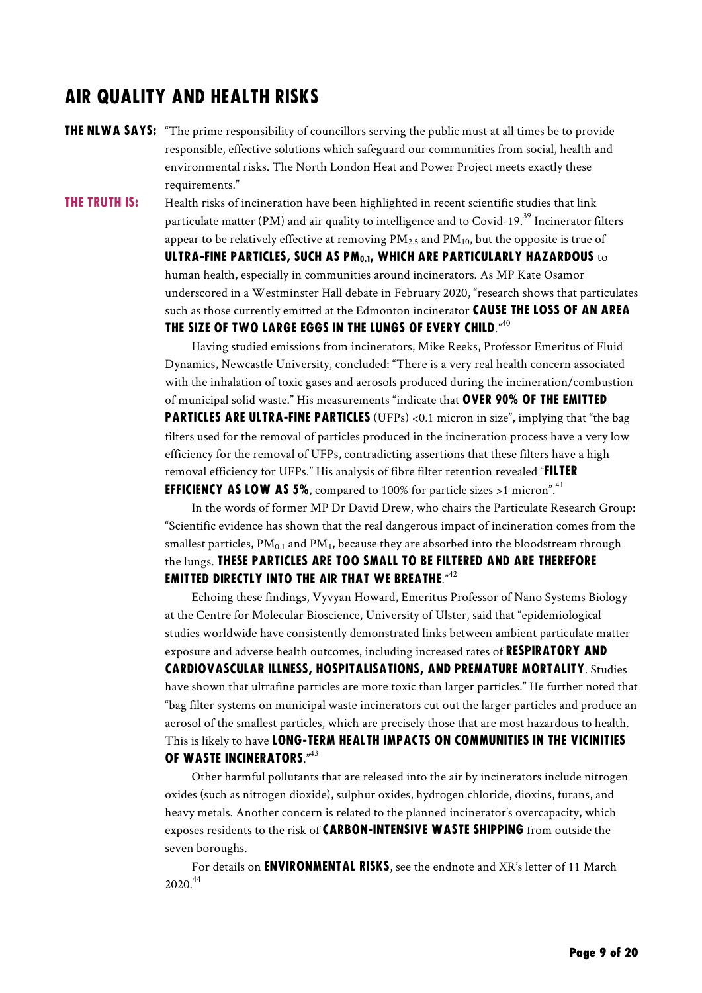### Air quality and health risks

**THE NLWA SAYS:** "The prime responsibility of councillors serving the public must at all times be to provide responsible, effective solutions which safeguard our communities from social, health and environmental risks. The North London Heat and Power Project meets exactly these requirements."

**THE TRUTH IS:** Health risks of incineration have been highlighted in recent scientific studies that link

particulate matter (PM) and air quality to intelligence and to Covid-19.<sup>39</sup> Incinerator filters appear to be relatively effective at removing  $PM_{2.5}$  and  $PM_{10}$ , but the opposite is true of ULTRA-FINE PARTICLES, SUCH AS PM<sub>0.1</sub>, WHICH ARE PARTICULARLY HAZARDOUS to human health, especially in communities around incinerators. As MP Kate Osamor underscored in a Westminster Hall debate in February 2020, "research shows that particulates such as those currently emitted at the Edmonton incinerator CAUSE THE LOSS OF AN AREA THE SIZE OF TWO LARGE EGGS IN THE LUNGS OF EVERY CHILD."<sup>40</sup>

Having studied emissions from incinerators, Mike Reeks, Professor Emeritus of Fluid Dynamics, Newcastle University, concluded: "There is a very real health concern associated with the inhalation of toxic gases and aerosols produced during the incineration/combustion of municipal solid waste." His measurements "indicate that **OVER 90% OF THE EMITTED** particles are ultra-fine particles (UFPs) <0.1 micron in size", implying that "the bag filters used for the removal of particles produced in the incineration process have a very low efficiency for the removal of UFPs, contradicting assertions that these filters have a high removal efficiency for UFPs." His analysis of fibre filter retention revealed "**FILTER EFFICIENCY AS LOW AS 5%, compared to 100% for particle sizes >1 micron".**<sup>41</sup>

In the words of former MP Dr David Drew, who chairs the Particulate Research Group: "Scientific evidence has shown that the real dangerous impact of incineration comes from the smallest particles,  $PM_{0.1}$  and  $PM_1$ , because they are absorbed into the bloodstream through the lungs. These particles are too small to be filtered and are therefore EMITTED DIRECTLY INTO THE AIR THAT WE BREATHE." $42$ 

Echoing these findings, Vyvyan Howard, Emeritus Professor of Nano Systems Biology at the Centre for Molecular Bioscience, University of Ulster, said that "epidemiological studies worldwide have consistently demonstrated links between ambient particulate matter exposure and adverse health outcomes, including increased rates of **RESPIRATORY AND** cardiovascular illness, hospitalisations, and premature mortality. Studies have shown that ultrafine particles are more toxic than larger particles." He further noted that "bag filter systems on municipal waste incinerators cut out the larger particles and produce an aerosol of the smallest particles, which are precisely those that are most hazardous to health. This is likely to have LONG-TERM HEALTH IMPACTS ON COMMUNITIES IN THE VICINITIES of waste incinerators."<sup>43</sup>

Other harmful pollutants that are released into the air by incinerators include nitrogen oxides (such as nitrogen dioxide), sulphur oxides, hydrogen chloride, dioxins, furans, and heavy metals. Another concern is related to the planned incinerator's overcapacity, which exposes residents to the risk of CARBON-INTENSIVE WASTE SHIPPING from outside the seven boroughs.

For details on **ENVIRONMENTAL RISKS**, see the endnote and XR's letter of 11 March 2020.44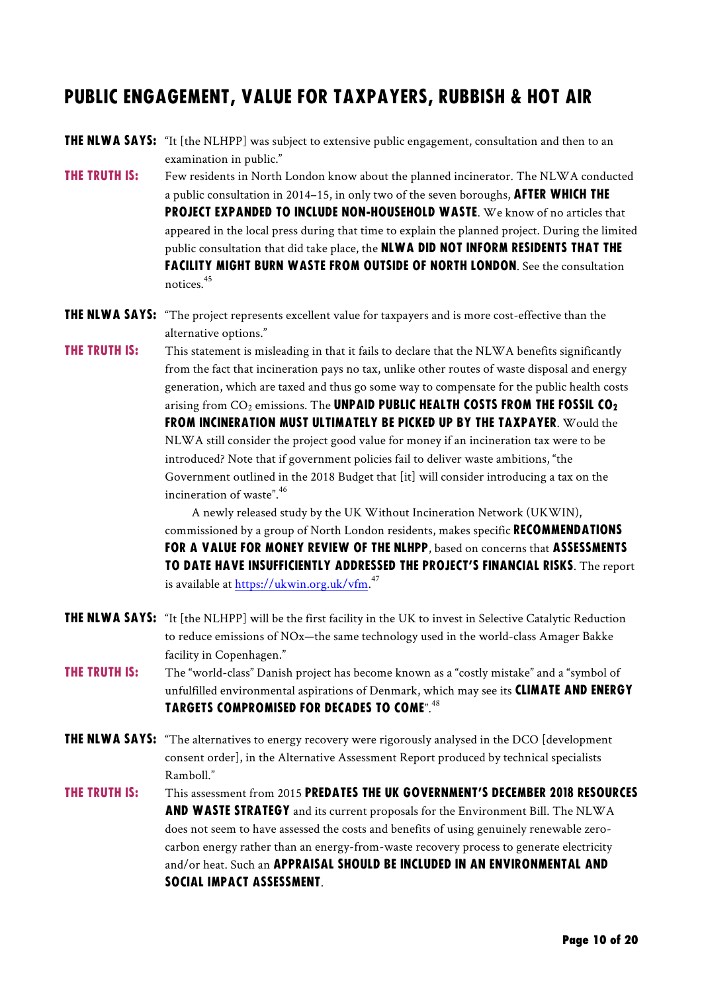## PUBLIC ENGAGEMENT, value for taxpayers, rubbish & hot air

- THE NLWA SAYS: "It [the NLHPP] was subject to extensive public engagement, consultation and then to an examination in public."
- **THE TRUTH IS:** Few residents in North London know about the planned incinerator. The NLWA conducted a public consultation in 2014–15, in only two of the seven boroughs, **AFTER WHICH THE** PROJECT EXPANDED TO INCLUDE NON-HOUSEHOLD WASTE. We know of no articles that appeared in the local press during that time to explain the planned project. During the limited public consultation that did take place, the **NLWA DID NOT INFORM RESIDENTS THAT THE FACILITY MIGHT BURN WASTE FROM OUTSIDE OF NORTH LONDON.** See the consultation notices.<sup>45</sup>
- THE NLWA SAYS: "The project represents excellent value for taxpayers and is more cost-effective than the alternative options."
- **THE TRUTH IS:** This statement is misleading in that it fails to declare that the NLWA benefits significantly from the fact that incineration pays no tax, unlike other routes of waste disposal and energy generation, which are taxed and thus go some way to compensate for the public health costs arising from  $CO_2$  emissions. The UNPAID PUBLIC HEALTH COSTS FROM THE FOSSIL CO<sub>2</sub> from incineration must ultimately be picked up by the taxpayer. Would the NLWA still consider the project good value for money if an incineration tax were to be introduced? Note that if government policies fail to deliver waste ambitions, "the Government outlined in the 2018 Budget that [it] will consider introducing a tax on the incineration of waste". $46$

A newly released study by the UK Without Incineration Network (UKWIN), commissioned by a group of North London residents, makes specific RECOMMENDATIONS FOR A VALUE FOR MONEY REVIEW OF THE NLHPP, based on concerns that ASSESSMENTS to date have insufficiently addressed the project's financial risks. The report is available at <u>https://ukwin.org.uk/vfm.</u><sup>47</sup>

- THE NLWA SAYS: "It [the NLHPP] will be the first facility in the UK to invest in Selective Catalytic Reduction to reduce emissions of NOx—the same technology used in the world-class Amager Bakke facility in Copenhagen."
- **THE TRUTH IS:** The "world-class" Danish project has become known as a "costly mistake" and a "symbol of unfulfilled environmental aspirations of Denmark, which may see its **CLIMATE AND ENERGY** targets compromised for decades to come".<sup>48</sup>
- THE NLWA SAYS: "The alternatives to energy recovery were rigorously analysed in the DCO [development consent order], in the Alternative Assessment Report produced by technical specialists Ramboll."
- The truth is: This assessment from 2015 predates the UK Government's December 2018 Resources AND WASTE STRATEGY and its current proposals for the Environment Bill. The NLWA does not seem to have assessed the costs and benefits of using genuinely renewable zerocarbon energy rather than an energy-from-waste recovery process to generate electricity and/or heat. Such an **APPRAISAL SHOULD BE INCLUDED IN AN ENVIRONMENTAL AND** social impact assessment.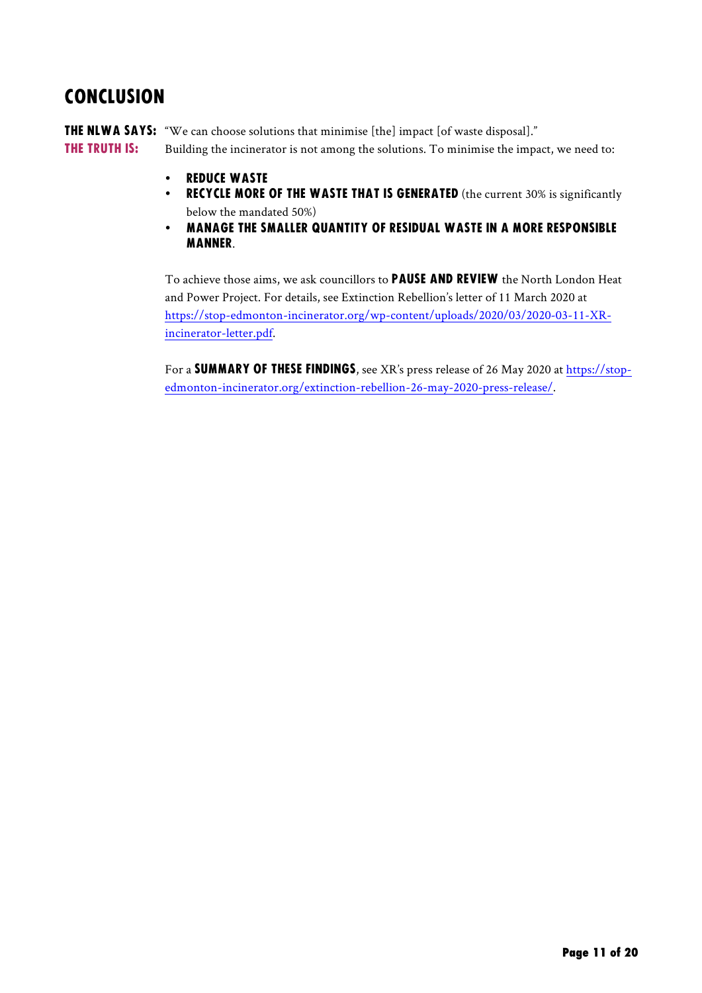## **CONCLUSION**

THE NLWA SAYS: "We can choose solutions that minimise [the] impact [of waste disposal]." **THE TRUTH IS:** Building the incinerator is not among the solutions. To minimise the impact, we need to:

- reduce waste
- RECYCLE MORE OF THE WASTE THAT IS GENERATED (the current 30% is significantly below the mandated 50%)
- manage the smaller quantity of residual waste in a more responsible manner.

To achieve those aims, we ask councillors to **PAUSE AND REVIEW** the North London Heat and Power Project. For details, see Extinction Rebellion's letter of 11 March 2020 at https://stop-edmonton-incinerator.org/wp-content/uploads/2020/03/2020-03-11-XRincinerator-letter.pdf.

For a summary of these findings, see XR's press release of 26 May 2020 at https://stopedmonton-incinerator.org/extinction-rebellion-26-may-2020-press-release/.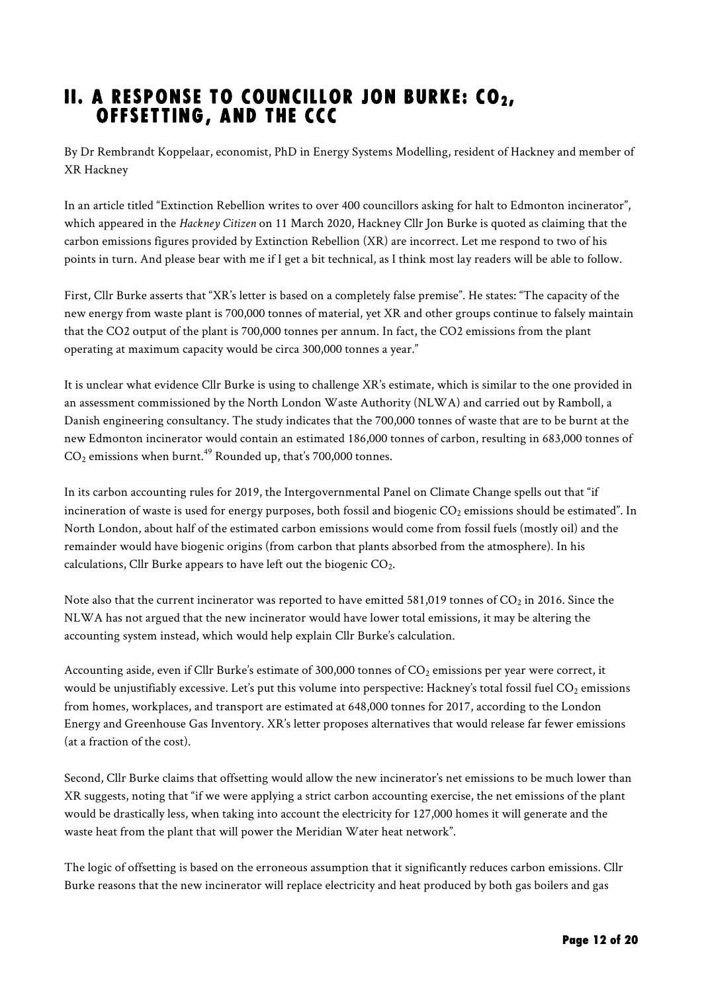## II. A RESPONSE TO COUNCILLOR JON BURKE: CO $_2$ , offsetting, and the CCC

By Dr Rembrandt Koppelaar, economist, PhD in Energy Systems Modelling, resident of Hackney and member of XR Hackney

In an article titled "Extinction Rebellion writes to over 400 councillors asking for halt to Edmonton incinerator", which appeared in the *Hackney Citizen* on 11 March 2020, Hackney Cllr Jon Burke is quoted as claiming that the carbon emissions figures provided by Extinction Rebellion (XR) are incorrect. Let me respond to two of his points in turn. And please bear with me if I get a bit technical, as I think most lay readers will be able to follow.

First, Cllr Burke asserts that "XR's letter is based on a completely false premise". He states: "The capacity of the new energy from waste plant is 700,000 tonnes of material, yet XR and other groups continue to falsely maintain that the CO2 output of the plant is 700,000 tonnes per annum. In fact, the CO2 emissions from the plant operating at maximum capacity would be circa 300,000 tonnes a year."

It is unclear what evidence Cllr Burke is using to challenge XR's estimate, which is similar to the one provided in an assessment commissioned by the North London Waste Authority (NLWA) and carried out by Ramboll, a Danish engineering consultancy. The study indicates that the 700,000 tonnes of waste that are to be burnt at the new Edmonton incinerator would contain an estimated 186,000 tonnes of carbon, resulting in 683,000 tonnes of  $CO<sub>2</sub>$  emissions when burnt.<sup>49</sup> Rounded up, that's 700,000 tonnes.

In its carbon accounting rules for 2019, the Intergovernmental Panel on Climate Change spells out that "if incineration of waste is used for energy purposes, both fossil and biogenic  $CO<sub>2</sub>$  emissions should be estimated". In North London, about half of the estimated carbon emissions would come from fossil fuels (mostly oil) and the remainder would have biogenic origins (from carbon that plants absorbed from the atmosphere). In his calculations, Cllr Burke appears to have left out the biogenic  $CO<sub>2</sub>$ .

Note also that the current incinerator was reported to have emitted 581,019 tonnes of  $CO_2$  in 2016. Since the NLWA has not argued that the new incinerator would have lower total emissions, it may be altering the accounting system instead, which would help explain Cllr Burke's calculation.

Accounting aside, even if Cllr Burke's estimate of 300,000 tonnes of CO<sub>2</sub> emissions per year were correct, it would be unjustifiably excessive. Let's put this volume into perspective: Hackney's total fossil fuel  $CO_2$  emissions from homes, workplaces, and transport are estimated at 648,000 tonnes for 2017, according to the London Energy and Greenhouse Gas Inventory. XR's letter proposes alternatives that would release far fewer emissions (at a fraction of the cost).

Second, Cllr Burke claims that offsetting would allow the new incinerator's net emissions to be much lower than XR suggests, noting that "if we were applying a strict carbon accounting exercise, the net emissions of the plant would be drastically less, when taking into account the electricity for 127,000 homes it will generate and the waste heat from the plant that will power the Meridian Water heat network".

The logic of offsetting is based on the erroneous assumption that it significantly reduces carbon emissions. Cllr Burke reasons that the new incinerator will replace electricity and heat produced by both gas boilers and gas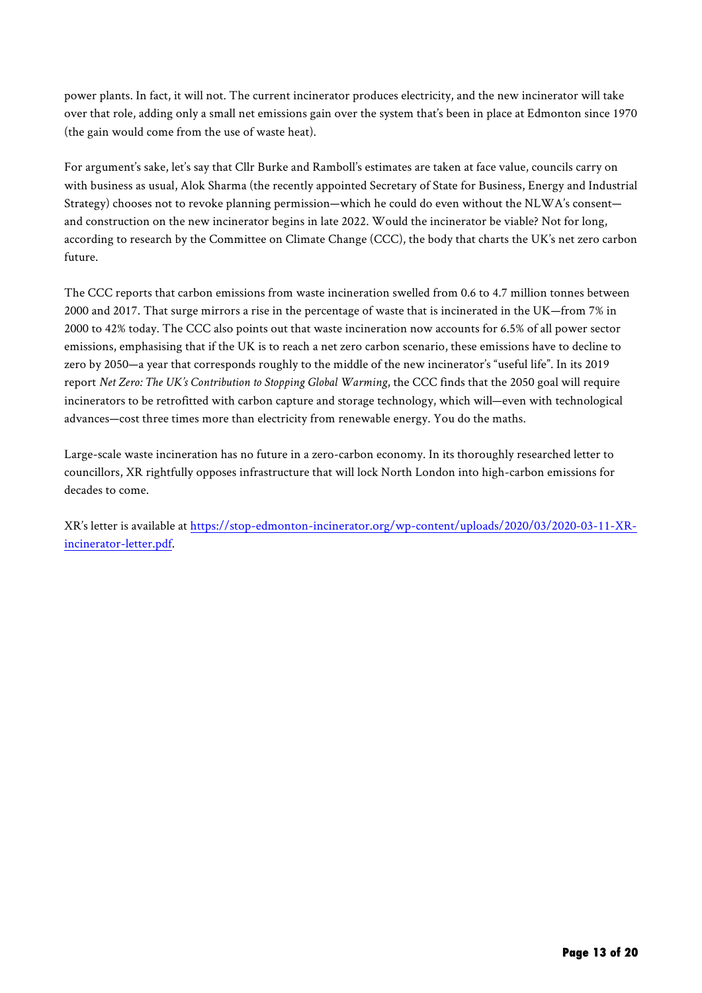power plants. In fact, it will not. The current incinerator produces electricity, and the new incinerator will take over that role, adding only a small net emissions gain over the system that's been in place at Edmonton since 1970 (the gain would come from the use of waste heat).

For argument's sake, let's say that Cllr Burke and Ramboll's estimates are taken at face value, councils carry on with business as usual, Alok Sharma (the recently appointed Secretary of State for Business, Energy and Industrial Strategy) chooses not to revoke planning permission—which he could do even without the NLWA's consent and construction on the new incinerator begins in late 2022. Would the incinerator be viable? Not for long, according to research by the Committee on Climate Change (CCC), the body that charts the UK's net zero carbon future.

The CCC reports that carbon emissions from waste incineration swelled from 0.6 to 4.7 million tonnes between 2000 and 2017. That surge mirrors a rise in the percentage of waste that is incinerated in the UK—from 7% in 2000 to 42% today. The CCC also points out that waste incineration now accounts for 6.5% of all power sector emissions, emphasising that if the UK is to reach a net zero carbon scenario, these emissions have to decline to zero by 2050—a year that corresponds roughly to the middle of the new incinerator's "useful life". In its 2019 report *Net Zero: The UK's Contribution to Stopping Global Warming*, the CCC finds that the 2050 goal will require incinerators to be retrofitted with carbon capture and storage technology, which will—even with technological advances—cost three times more than electricity from renewable energy. You do the maths.

Large-scale waste incineration has no future in a zero-carbon economy. In its thoroughly researched letter to councillors, XR rightfully opposes infrastructure that will lock North London into high-carbon emissions for decades to come.

XR's letter is available at https://stop-edmonton-incinerator.org/wp-content/uploads/2020/03/2020-03-11-XRincinerator-letter.pdf.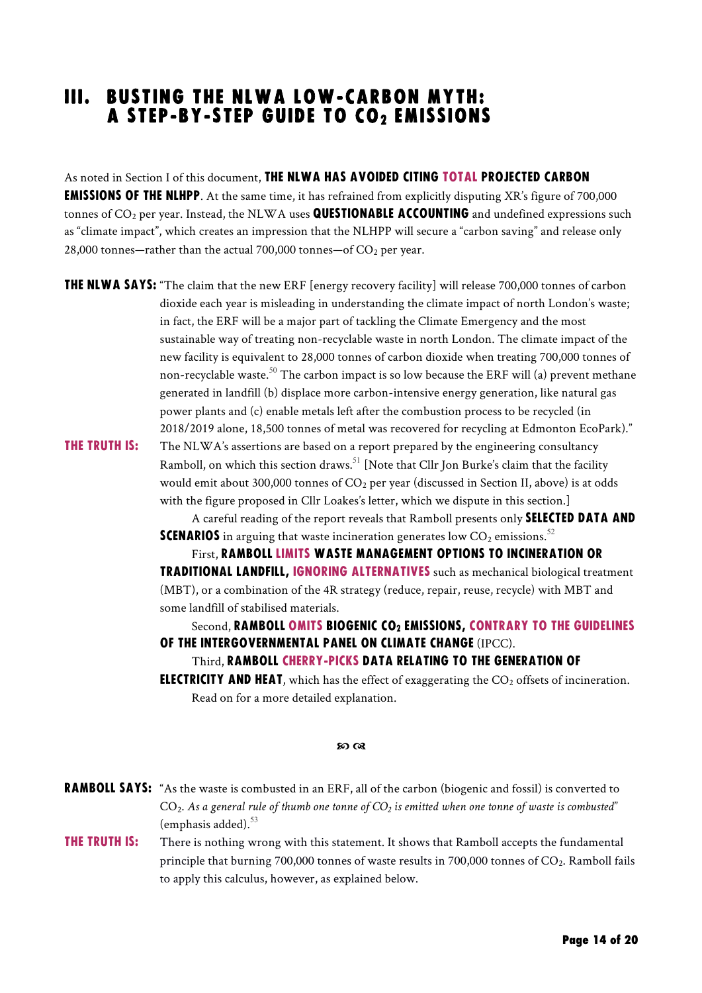### iII. Busting the NLWA low-carbon myth: A STEP-BY-STEP GUIDE TO CO2 EMISSIONS

As noted in Section I of this document, THE NLWA HAS AVOIDED CITING TOTAL PROJECTED CARBON **EMISSIONS OF THE NLHPP.** At the same time, it has refrained from explicitly disputing XR's figure of 700,000 tonnes of  $CO<sub>2</sub>$  per year. Instead, the NLWA uses QUESTIONABLE ACCOUNTING and undefined expressions such as "climate impact", which creates an impression that the NLHPP will secure a "carbon saving" and release only 28,000 tonnes—rather than the actual 700,000 tonnes—of  $CO_2$  per year.

**THE NLWA SAYS:** "The claim that the new ERF [energy recovery facility] will release 700,000 tonnes of carbon dioxide each year is misleading in understanding the climate impact of north London's waste; in fact, the ERF will be a major part of tackling the Climate Emergency and the most sustainable way of treating non-recyclable waste in north London. The climate impact of the new facility is equivalent to 28,000 tonnes of carbon dioxide when treating 700,000 tonnes of non-recyclable waste.<sup>50</sup> The carbon impact is so low because the ERF will (a) prevent methane generated in landfill (b) displace more carbon-intensive energy generation, like natural gas power plants and (c) enable metals left after the combustion process to be recycled (in 2018/2019 alone, 18,500 tonnes of metal was recovered for recycling at Edmonton EcoPark)."

**THE TRUTH IS:** The NLWA's assertions are based on a report prepared by the engineering consultancy Ramboll, on which this section draws.<sup>51</sup> [Note that Cllr Jon Burke's claim that the facility would emit about 300,000 tonnes of  $CO<sub>2</sub>$  per year (discussed in Section II, above) is at odds with the figure proposed in Cllr Loakes's letter, which we dispute in this section.]

A careful reading of the report reveals that Ramboll presents only SELECTED DATA AND **SCENARIOS** in arguing that waste incineration generates low  $CO<sub>2</sub>$  emissions.<sup>52</sup>

First, Ramboll limits waste management options to incineration or traditional landfill, ignoring alternatives such as mechanical biological treatment (MBT), or a combination of the 4R strategy (reduce, repair, reuse, recycle) with MBT and some landfill of stabilised materials.

#### Second, RAMBOLL OMITS BIOGENIC CO2 EMISSIONS, CONTRARY TO THE GUIDELINES of the Intergovernmental Panel on Climate Change (IPCC).

Third, Ramboll cherry-picks data relating to the generation of

**ELECTRICITY AND HEAT**, which has the effect of exaggerating the  $CO<sub>2</sub>$  offsets of incineration. Read on for a more detailed explanation.

#### so ca

| RAMBOLL SAYS: "As the waste is combusted in an ERF, all of the carbon (biogenic and fossil) is converted to |
|-------------------------------------------------------------------------------------------------------------|
| $CO2$ . As a general rule of thumb one tonne of $CO2$ is emitted when one tonne of waste is combusted"      |
| (emphasis added). $53$                                                                                      |

**THE TRUTH IS:** There is nothing wrong with this statement. It shows that Ramboll accepts the fundamental principle that burning 700,000 tonnes of waste results in 700,000 tonnes of  $CO<sub>2</sub>$ . Ramboll fails to apply this calculus, however, as explained below.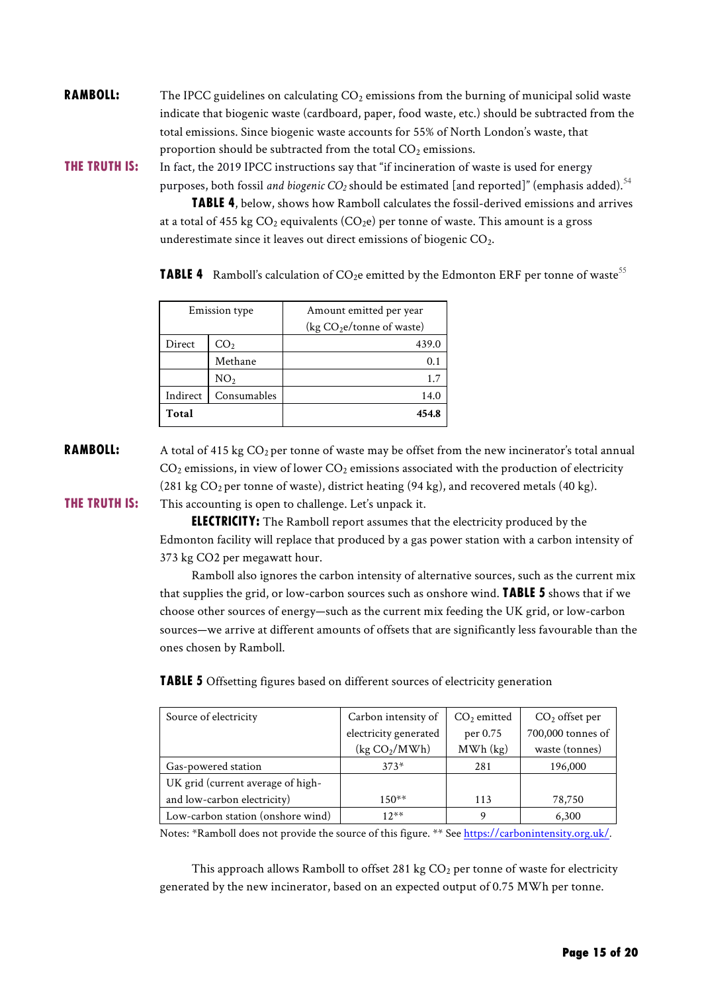**RAMBOLL:** The IPCC guidelines on calculating  $CO<sub>2</sub>$  emissions from the burning of municipal solid waste indicate that biogenic waste (cardboard, paper, food waste, etc.) should be subtracted from the total emissions. Since biogenic waste accounts for 55% of North London's waste, that proportion should be subtracted from the total  $CO<sub>2</sub>$  emissions.

THE TRUTH IS: In fact, the 2019 IPCC instructions say that "if incineration of waste is used for energy purposes, both fossil *and biogenic CO<sub>2</sub>* should be estimated [and reported]" (emphasis added).  $^{54}$ 

> Table 4, below, shows how Ramboll calculates the fossil-derived emissions and arrives at a total of 455 kg  $CO_2$  equivalents  $(CO_2e)$  per tonne of waste. This amount is a gross underestimate since it leaves out direct emissions of biogenic CO<sub>2</sub>.

**TABLE 4** Ramboll's calculation of CO<sub>2</sub>e emitted by the Edmonton ERF per tonne of waste<sup>55</sup>

| <b>Emission</b> type |                 | Amount emitted per year<br>(kg $CO2e$ /tonne of waste) |  |
|----------------------|-----------------|--------------------------------------------------------|--|
| Direct               | CO <sub>2</sub> | 439.0                                                  |  |
|                      | Methane         | 0.1                                                    |  |
|                      | NO <sub>2</sub> | 1.7                                                    |  |
| Indirect             | Consumables     | 14.0                                                   |  |
| Total                |                 | 454.8                                                  |  |

**RAMBOLL:** A total of 415 kg  $CO_2$  per tonne of waste may be offset from the new incinerator's total annual  $CO<sub>2</sub>$  emissions, in view of lower  $CO<sub>2</sub>$  emissions associated with the production of electricity (281 kg  $CO_2$  per tonne of waste), district heating (94 kg), and recovered metals (40 kg). **THE TRUTH IS:** This accounting is open to challenge. Let's unpack it.

> ELECTRICITY: The Ramboll report assumes that the electricity produced by the Edmonton facility will replace that produced by a gas power station with a carbon intensity of 373 kg CO2 per megawatt hour.

> Ramboll also ignores the carbon intensity of alternative sources, such as the current mix that supplies the grid, or low-carbon sources such as onshore wind. **TABLE 5** shows that if we choose other sources of energy—such as the current mix feeding the UK grid, or low-carbon sources—we arrive at different amounts of offsets that are significantly less favourable than the ones chosen by Ramboll.

**TABLE 5** Offsetting figures based on different sources of electricity generation

| Source of electricity             | Carbon intensity of       | $CO2$ emitted | $CO2$ offset per  |
|-----------------------------------|---------------------------|---------------|-------------------|
|                                   | electricity generated     | per 0.75      | 700,000 tonnes of |
|                                   | (kg CO <sub>2</sub> /MWh) | MWh (kg)      | waste (tonnes)    |
| Gas-powered station               | $373*$                    | 281           | 196,000           |
| UK grid (current average of high- |                           |               |                   |
| and low-carbon electricity)       | $150**$                   | 113           | 78,750            |
| Low-carbon station (onshore wind) | $12**$                    | Q             | 6,300             |

Notes: \*Ramboll does not provide the source of this figure. \*\* See https://carbonintensity.org.uk/*.*

This approach allows Ramboll to offset 281 kg  $CO<sub>2</sub>$  per tonne of waste for electricity generated by the new incinerator, based on an expected output of 0.75 MWh per tonne.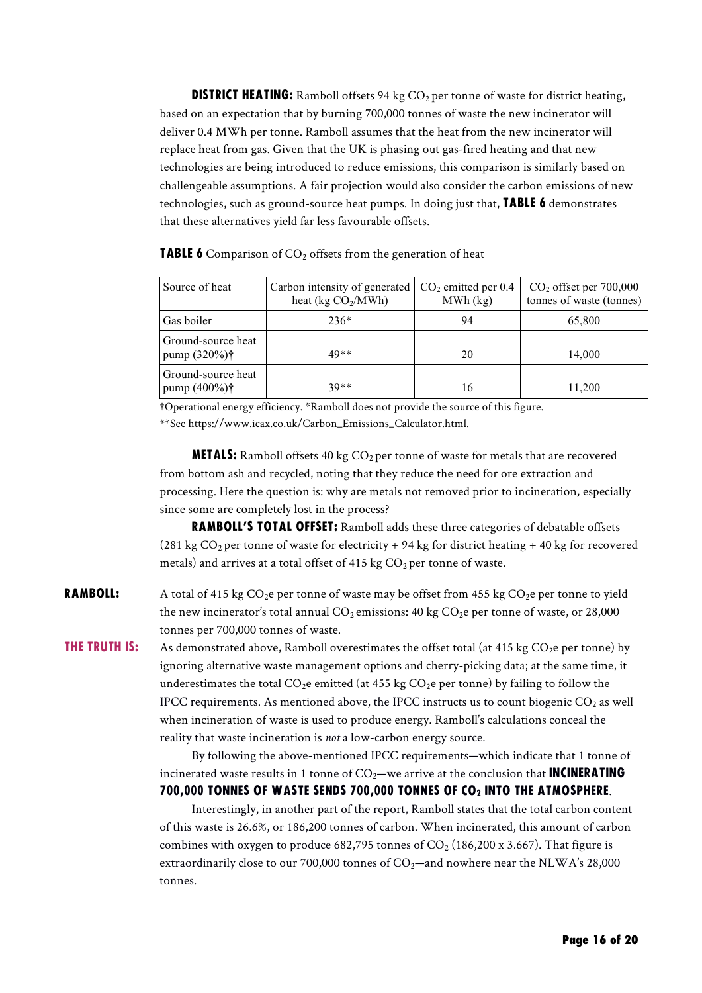**DISTRICT HEATING:** Ramboll offsets 94 kg  $CO<sub>2</sub>$  per tonne of waste for district heating, based on an expectation that by burning 700,000 tonnes of waste the new incinerator will deliver 0.4 MWh per tonne. Ramboll assumes that the heat from the new incinerator will replace heat from gas. Given that the UK is phasing out gas-fired heating and that new technologies are being introduced to reduce emissions, this comparison is similarly based on challengeable assumptions. A fair projection would also consider the carbon emissions of new technologies, such as ground-source heat pumps. In doing just that, **TABLE 6** demonstrates that these alternatives yield far less favourable offsets.

Source of heat Carbon intensity of generated heat (kg  $CO<sub>2</sub>/MWh$ )  $CO<sub>2</sub>$  emitted per 0.4 MWh (kg) CO2 offset per 700,000 tonnes of waste (tonnes) Gas boiler  $236*$  94 65,800 Ground-source heat pump (320%)† 49\*\* 20 14,000 Ground-source heat pump (400%)<sup>†</sup> 39<sup>\*\*</sup> 16 11,200

**TABLE 6** Comparison of  $CO<sub>2</sub>$  offsets from the generation of heat

†Operational energy efficiency. \*Ramboll does not provide the source of this figure. \*\*See https://www.icax.co.uk/Carbon\_Emissions\_Calculator.html.

**METALS:** Ramboll offsets 40 kg  $CO<sub>2</sub>$  per tonne of waste for metals that are recovered from bottom ash and recycled, noting that they reduce the need for ore extraction and processing. Here the question is: why are metals not removed prior to incineration, especially since some are completely lost in the process?

RAMBOLL'S TOTAL OFFSET: Ramboll adds these three categories of debatable offsets  $(281 \text{ kg CO}_2 \text{ per tonne of waste for electricity} + 94 \text{ kg for district heating} + 40 \text{ kg for recovered})$ metals) and arrives at a total offset of 415 kg  $CO<sub>2</sub>$  per tonne of waste.

**RAMBOLL:** A total of 415 kg  $CO_2e$  per tonne of waste may be offset from 455 kg  $CO_2e$  per tonne to yield the new incinerator's total annual  $CO_2$  emissions: 40 kg  $CO_2$ e per tonne of waste, or 28,000 tonnes per 700,000 tonnes of waste.

**THE TRUTH IS:** As demonstrated above, Ramboll overestimates the offset total (at 415 kg  $CO<sub>2</sub>e$  per tonne) by ignoring alternative waste management options and cherry-picking data; at the same time, it underestimates the total  $CO_2e$  emitted (at 455 kg  $CO_2e$  per tonne) by failing to follow the IPCC requirements. As mentioned above, the IPCC instructs us to count biogenic  $CO<sub>2</sub>$  as well when incineration of waste is used to produce energy. Ramboll's calculations conceal the reality that waste incineration is *not* a low-carbon energy source.

> By following the above-mentioned IPCC requirements—which indicate that 1 tonne of incinerated waste results in 1 tonne of  $CO<sub>2</sub>$ —we arrive at the conclusion that **INCINERATING** 700,000 TONNES OF WASTE SENDS 700,000 TONNES OF CO2 INTO THE ATMOSPHERE.

> Interestingly, in another part of the report, Ramboll states that the total carbon content of this waste is 26.6%, or 186,200 tonnes of carbon. When incinerated, this amount of carbon combines with oxygen to produce  $682,795$  tonnes of  $CO<sub>2</sub>$  (186,200 x 3.667). That figure is extraordinarily close to our 700,000 tonnes of  $CO_2$ —and nowhere near the NLWA's 28,000 tonnes.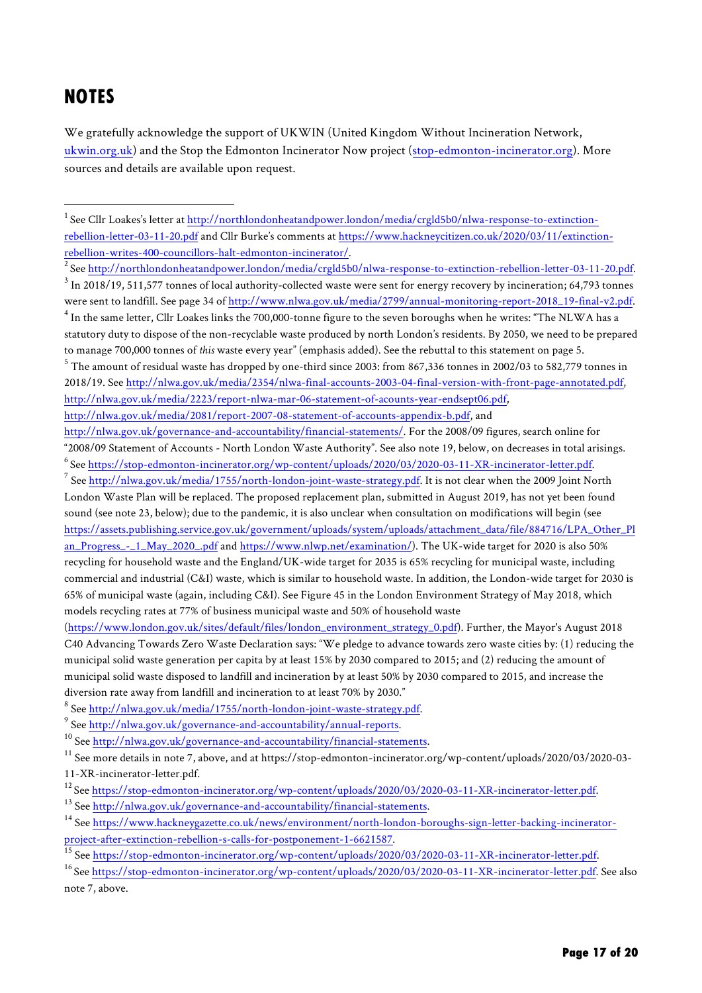## **NOTES**

We gratefully acknowledge the support of UKWIN (United Kingdom Without Incineration Network, ukwin.org.uk) and the Stop the Edmonton Incinerator Now project (stop-edmonton-incinerator.org). More sources and details are available upon request.

<sup>2</sup> See http://northlondonheatandpower.london/media/crgld5b0/nlwa-response-to-extinction-rebellion-letter-03-11-20.pdf.  $3$  In 2018/19, 511,577 tonnes of local authority-collected waste were sent for energy recovery by incineration; 64,793 tonnes were sent to landfill. See page 34 of http://www.nlwa.gov.uk/media/2799/annual-monitoring-report-2018\_19-final-v2.pdf.

<sup>4</sup> In the same letter, Cllr Loakes links the 700,000-tonne figure to the seven boroughs when he writes: "The NLWA has a statutory duty to dispose of the non-recyclable waste produced by north London's residents. By 2050, we need to be prepared to manage 700,000 tonnes of *this* waste every year" (emphasis added). See the rebuttal to this statement on page 5. <sup>5</sup> The amount of residual waste has dropped by one-third since 2003: from 867,336 tonnes in 2002/03 to 582,779 tonnes in 2018/19. See http://nlwa.gov.uk/media/2354/nlwa-final-accounts-2003-04-final-version-with-front-page-annotated.pdf, http://nlwa.gov.uk/media/2223/report-nlwa-mar-06-statement-of-acounts-year-endsept06.pdf,

http://nlwa.gov.uk/media/2081/report-2007-08-statement-of-accounts-appendix-b.pdf, and

<sup>7</sup> See http://nlwa.gov.uk/media/1755/north-london-joint-waste-strategy.pdf. It is not clear when the 2009 Joint North London Waste Plan will be replaced. The proposed replacement plan, submitted in August 2019, has not yet been found sound (see note 23, below); due to the pandemic, it is also unclear when consultation on modifications will begin (see https://assets.publishing.service.gov.uk/government/uploads/system/uploads/attachment\_data/file/884716/LPA\_Other\_Pl an\_Progress\_-\_1\_May\_2020\_.pdf and https://www.nlwp.net/examination/). The UK-wide target for 2020 is also 50% recycling for household waste and the England/UK-wide target for 2035 is 65% recycling for municipal waste, including commercial and industrial (C&I) waste, which is similar to household waste. In addition, the London-wide target for 2030 is 65% of municipal waste (again, including C&I). See Figure 45 in the London Environment Strategy of May 2018, which models recycling rates at 77% of business municipal waste and 50% of household waste

(https://www.london.gov.uk/sites/default/files/london\_environment\_strategy\_0.pdf). Further, the Mayor's August 2018 C40 Advancing Towards Zero Waste Declaration says: "We pledge to advance towards zero waste cities by: (1) reducing the municipal solid waste generation per capita by at least 15% by 2030 compared to 2015; and (2) reducing the amount of municipal solid waste disposed to landfill and incineration by at least 50% by 2030 compared to 2015, and increase the diversion rate away from landfill and incineration to at least 70% by 2030."

<sup>8</sup> See http://nlwa.gov.uk/media/1755/north-london-joint-waste-strategy.pdf.

<sup>9</sup> See http://nlwa.gov.uk/governance-and-accountability/annual-reports.

<sup>10</sup> See http://nlwa.gov.uk/governance-and-accountability/financial-statements.

<sup>12</sup> See <u>https://stop-edmonton-incinerator.org/wp-content/uploads/2020/03/2020-03-11-XR-incinerator-letter.pdf.<br><sup>13</sup> See http://nlwa.gov.uk/governance-and-accountability/financial-statements.</u>

 $\frac{1}{1}$  $^1$  See Cllr Loakes's letter at http://northlondonheatandpower.london/media/crgld5b0/nlwa-response-to-extinctionrebellion-letter-03-11-20.pdf and Cllr Burke's comments at https://www.hackneycitizen.co.uk/2020/03/11/extinctionrebellion-writes-400-councillors-halt-edmonton-incinerator/. 2

http://nlwa.gov.uk/governance-and-accountability/financial-statements/. For the 2008/09 figures, search online for "2008/09 Statement of Accounts - North London Waste Authority". See also note 19, below, on decreases in total arisings.  $^6$  See https://stop-edmonton-incinerator.org/wp-content/uploads/2020/03/2020-03-11-XR-incinerator-letter.pdf.

<sup>&</sup>lt;sup>11</sup> See more details in note 7, above, and at https://stop-edmonton-incinerator.org/wp-content/uploads/2020/03/2020-03-11-XR-incinerator-letter.pdf.

<sup>14</sup> See https://www.hackneygazette.co.uk/news/environment/north-london-boroughs-sign-letter-backing-incineratorproject-after-extinction-rebellion-s-calls-for-postponement-1-6621587.<br><sup>15</sup> See <u>https://stop-edmonton-incinerator.org/wp-content/uploads/2020/03/2020-03-11-XR-incinerator-letter.pdf.<br><sup>16</sup> See https://stop-edmonton-inciner</u>

note 7, above.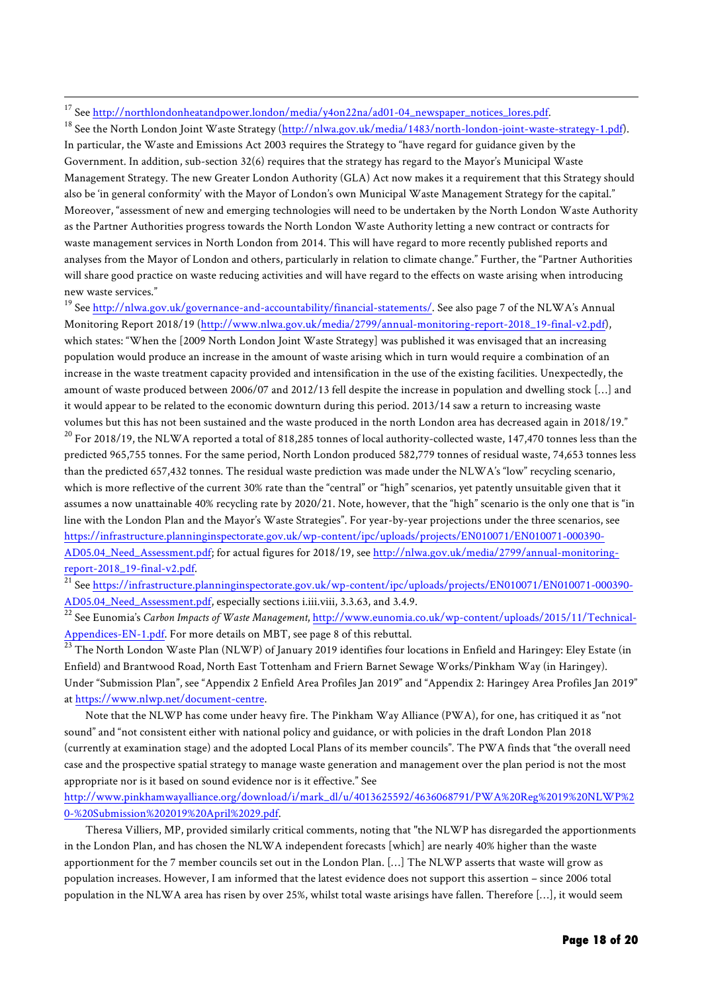<sup>17</sup> See <u>http://northlondonheatandpower.london/media/y4on22na/ad01-04\_newspaper\_notices\_lores.pdf.<br><sup>18</sup> See the North London Joint Waste Strategy (http://nlwa.gov.uk/media/1483/north-london-joint-waste-strategy-1.pdf).</u> In particular, the Waste and Emissions Act 2003 requires the Strategy to "have regard for guidance given by the Government. In addition, sub-section 32(6) requires that the strategy has regard to the Mayor's Municipal Waste Management Strategy. The new Greater London Authority (GLA) Act now makes it a requirement that this Strategy should also be 'in general conformity' with the Mayor of London's own Municipal Waste Management Strategy for the capital." Moreover, "assessment of new and emerging technologies will need to be undertaken by the North London Waste Authority as the Partner Authorities progress towards the North London Waste Authority letting a new contract or contracts for waste management services in North London from 2014. This will have regard to more recently published reports and analyses from the Mayor of London and others, particularly in relation to climate change." Further, the "Partner Authorities will share good practice on waste reducing activities and will have regard to the effects on waste arising when introducing new waste services."

<sup>19</sup> See http://nlwa.gov.uk/governance-and-accountability/financial-statements/. See also page 7 of the NLWA's Annual Monitoring Report 2018/19 (http://www.nlwa.gov.uk/media/2799/annual-monitoring-report-2018\_19-final-v2.pdf), which states: "When the [2009 North London Joint Waste Strategy] was published it was envisaged that an increasing population would produce an increase in the amount of waste arising which in turn would require a combination of an increase in the waste treatment capacity provided and intensification in the use of the existing facilities. Unexpectedly, the amount of waste produced between 2006/07 and 2012/13 fell despite the increase in population and dwelling stock […] and it would appear to be related to the economic downturn during this period. 2013/14 saw a return to increasing waste volumes but this has not been sustained and the waste produced in the north London area has decreased again in 2018/19."  $^{20}$  For 2018/19, the NLWA reported a total of 818,285 tonnes of local authority-collected waste, 147,470 tonnes less than the predicted 965,755 tonnes. For the same period, North London produced 582,779 tonnes of residual waste, 74,653 tonnes less than the predicted 657,432 tonnes. The residual waste prediction was made under the NLWA's "low" recycling scenario, which is more reflective of the current 30% rate than the "central" or "high" scenarios, yet patently unsuitable given that it assumes a now unattainable 40% recycling rate by 2020/21. Note, however, that the "high" scenario is the only one that is "in line with the London Plan and the Mayor's Waste Strategies". For year-by-year projections under the three scenarios, see https://infrastructure.planninginspectorate.gov.uk/wp-content/ipc/uploads/projects/EN010071/EN010071-000390- AD05.04\_Need\_Assessment.pdf; for actual figures for 2018/19, see http://nlwa.gov.uk/media/2799/annual-monitoringreport-2018\_19-final-v2.pdf.

<sup>21</sup> See https://infrastructure.planninginspectorate.gov.uk/wp-content/ipc/uploads/projects/EN010071/EN010071-000390-AD05.04\_Need\_Assessment.pdf, especially sections i.iii.viii, 3.3.63, and 3.4.9. 22 See Eunomia's *Carbon Impacts of Waste Management*, http://www.eunomia.co.uk/wp-content/uploads/2015/11/Technical-

Appendices-EN-1.pdf. For more details on MBT, see page 8 of this rebuttal.

<sup>23</sup> The North London Waste Plan (NLWP) of January 2019 identifies four locations in Enfield and Haringey: Eley Estate (in Enfield) and Brantwood Road, North East Tottenham and Friern Barnet Sewage Works/Pinkham Way (in Haringey). Under "Submission Plan", see "Appendix 2 Enfield Area Profiles Jan 2019" and "Appendix 2: Haringey Area Profiles Jan 2019" at https://www.nlwp.net/document-centre.

Note that the NLWP has come under heavy fire. The Pinkham Way Alliance (PWA), for one, has critiqued it as "not sound" and "not consistent either with national policy and guidance, or with policies in the draft London Plan 2018 (currently at examination stage) and the adopted Local Plans of its member councils". The PWA finds that "the overall need case and the prospective spatial strategy to manage waste generation and management over the plan period is not the most appropriate nor is it based on sound evidence nor is it effective." See

http://www.pinkhamwayalliance.org/download/i/mark\_dl/u/4013625592/4636068791/PWA%20Reg%2019%20NLWP%2 0-%20Submission%202019%20April%2029.pdf.

Theresa Villiers, MP, provided similarly critical comments, noting that "the NLWP has disregarded the apportionments in the London Plan, and has chosen the NLWA independent forecasts [which] are nearly 40% higher than the waste apportionment for the 7 member councils set out in the London Plan. […] The NLWP asserts that waste will grow as population increases. However, I am informed that the latest evidence does not support this assertion – since 2006 total population in the NLWA area has risen by over 25%, whilst total waste arisings have fallen. Therefore […], it would seem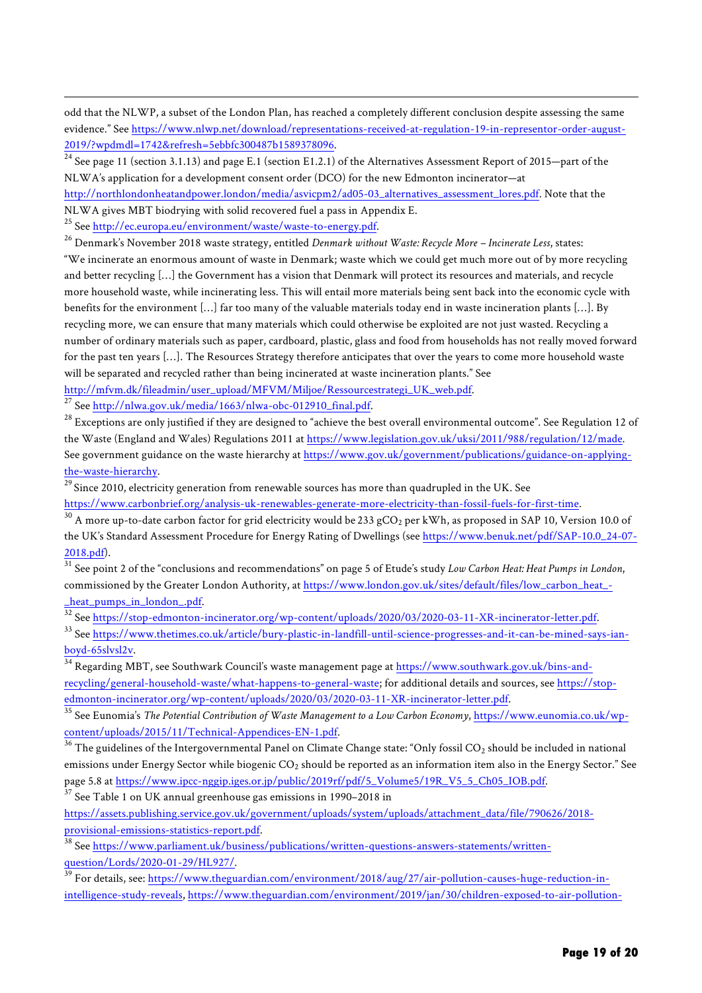odd that the NLWP, a subset of the London Plan, has reached a completely different conclusion despite assessing the same evidence." See https://www.nlwp.net/download/representations-received-at-regulation-19-in-representor-order-august- $\frac{2019}{\text{24}}$ See page 11 (section 3.1.13) and page E.1 (section E1.2.1) of the Alternatives Assessment Report of 2015—part of the

NLWA's application for a development consent order (DCO) for the new Edmonton incinerator—at

http://northlondonheatandpower.london/media/asvicpm2/ad05-03\_alternatives\_assessment\_lores.pdf. Note that the NLWA gives MBT biodrying with solid recovered fuel a pass in Appendix E.

<sup>25</sup> See http://ec.europa.eu/environment/waste/waste-to-energy.pdf.

 $\overline{\phantom{a}}$ 

<sup>26</sup> Denmark's November 2018 waste strategy, entitled *Denmark without Waste: Recycle More – Incinerate Less*, states:

"We incinerate an enormous amount of waste in Denmark; waste which we could get much more out of by more recycling and better recycling […] the Government has a vision that Denmark will protect its resources and materials, and recycle more household waste, while incinerating less. This will entail more materials being sent back into the economic cycle with benefits for the environment […] far too many of the valuable materials today end in waste incineration plants […]. By recycling more, we can ensure that many materials which could otherwise be exploited are not just wasted. Recycling a number of ordinary materials such as paper, cardboard, plastic, glass and food from households has not really moved forward for the past ten years […]. The Resources Strategy therefore anticipates that over the years to come more household waste will be separated and recycled rather than being incinerated at waste incineration plants." See

http://mfvm.dk/fileadmin/user\_upload/MFVM/Miljoe/Ressourcestrategi\_UK\_web.pdf.

<sup>27</sup> See <u>http://nlwa.gov.uk/media/1663/nlwa-obc-012910\_final.pdf</u>.<br><sup>28</sup> Exceptions are only justified if they are designed to "achieve the best overall environmental outcome". See Regulation 12 of the Waste (England and Wales) Regulations 2011 at https://www.legislation.gov.uk/uksi/2011/988/regulation/12/made. See government guidance on the waste hierarchy at https://www.gov.uk/government/publications/guidance-on-applyingthe-waste-hierarchy.<br><sup>29</sup> Since 2010, electricity generation from renewable sources has more than quadrupled in the UK. See

https://www.carbonbrief.org/analysis-uk-renewables-generate-more-electricity-than-fossil-fuels-for-first-time.

 $30$  A more up-to-date carbon factor for grid electricity would be 233 gCO<sub>2</sub> per kWh, as proposed in SAP 10, Version 10.0 of the UK's Standard Assessment Procedure for Energy Rating of Dwellings (see https://www.benuk.net/pdf/SAP-10.0\_24-07-

2018.pdf). 31 See point 2 of the "conclusions and recommendations" on page 5 of Etude's study *Low Carbon Heat: Heat Pumps in London*, commissioned by the Greater London Authority, at https://www.london.gov.uk/sites/default/files/low\_carbon\_heat\_ heat\_pumps\_in\_london\_.pdf.

32<br>32 See <u>https://stop-edmonton-incinerator.org/wp-content/uploads/2020/03/2020-03-11-XR-incinerator-letter.pdf.</u><br>33 See https://www.thetimes.co.uk/article/bury-plastic-in-landfill-until-science-progresses-and-it-can-be-m

boyd-65slvsl2v.

<sup>34</sup> Regarding MBT, see Southwark Council's waste management page at https://www.southwark.gov.uk/bins-andrecycling/general-household-waste/what-happens-to-general-waste; for additional details and sources, see https://stopedmonton-incinerator.org/wp-content/uploads/2020/03/2020-03-11-XR-incinerator-letter.pdf.

<sup>35</sup> See Eunomia's *The Potential Contribution of Waste Management to a Low Carbon Economy*, https://www.eunomia.co.uk/wp- $\frac{\text{content/vploads}/2015/11/Technical-Appendices-EN-1.pdf.}{^{36}}$ <br><sup>36</sup> The guidelines of the Intergovernmental Panel on Climate Change state: "Only fossil CO<sub>2</sub> should be included in national

emissions under Energy Sector while biogenic  $CO<sub>2</sub>$  should be reported as an information item also in the Energy Sector." See page 5.8 at https://www.ipcc-nggip.iges.or.jp/public/2019rf/pdf/5\_Volume5/19R\_V5\_5\_Ch05\_IOB.pdf.

 $37$  See Table 1 on UK annual greenhouse gas emissions in 1990–2018 in

https://assets.publishing.service.gov.uk/government/uploads/system/uploads/attachment\_data/file/790626/2018 provisional-emissions-statistics-report.pdf.

<sup>38</sup> See https://www.parliament.uk/business/publications/written-questions-answers-statements/writtenquestion/Lords/2020-01-29/HL927/.<br><sup>39</sup> For details, see: https://www.theguardian.com/environment/2018/aug/27/air-pollution-causes-huge-reduction-in-

intelligence-study-reveals, https://www.theguardian.com/environment/2019/jan/30/children-exposed-to-air-pollution-